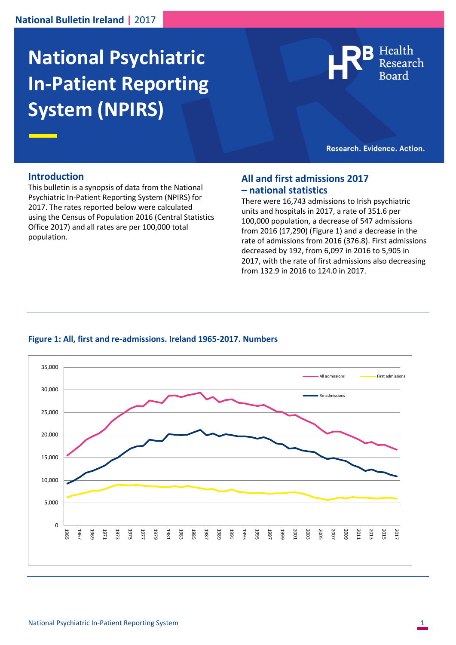# **National Psychiatric In-Patient Reporting System (NPIRS)**



Research. Evidence. Action.

#### **Introduction**

This bulletin is a synopsis of data from the National Psychiatric In-Patient Reporting System (NPIRS) for 2017. The rates reported below were calculated using the Census of Population 2016 (Central Statistics Office 2017) and all rates are per 100,000 total population.

### **All and first admissions 2017 – national statistics**

There were 16,743 admissions to Irish psychiatric units and hospitals in 2017, a rate of 351.6 per 100,000 population, a decrease of 547 admissions from 2016 (17,290) (Figure 1) and a decrease in the rate of admissions from 2016 (376.8). First admissions decreased by 192, from 6,097 in 2016 to 5,905 in 2017, with the rate of first admissions also decreasing from 132.9 in 2016 to 124.0 in 2017.

#### **Figure 1: All, first and re-admissions. Ireland 1965-2017. Numbers**

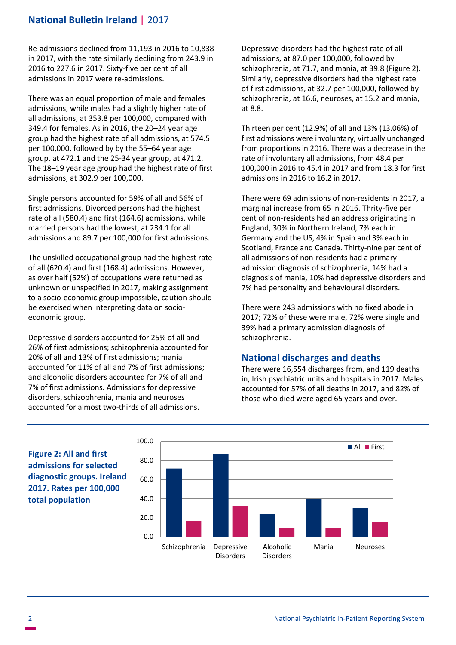# **National Bulletin Ireland |** 2017

Re-admissions declined from 11,193 in 2016 to 10,838 in 2017, with the rate similarly declining from 243.9 in 2016 to 227.6 in 2017. Sixty-five per cent of all admissions in 2017 were re-admissions.

There was an equal proportion of male and females admissions, while males had a slightly higher rate of all admissions, at 353.8 per 100,000, compared with 349.4 for females. As in 2016, the 20–24 year age group had the highest rate of all admissions, at 574.5 per 100,000, followed by by the 55–64 year age group, at 472.1 and the 25-34 year group, at 471.2. The 18–19 year age group had the highest rate of first admissions, at 302.9 per 100,000.

Single persons accounted for 59% of all and 56% of first admissions. Divorced persons had the highest rate of all (580.4) and first (164.6) admissions, while married persons had the lowest, at 234.1 for all admissions and 89.7 per 100,000 for first admissions.

The unskilled occupational group had the highest rate of all (620.4) and first (168.4) admissions. However, as over half (52%) of occupations were returned as unknown or unspecified in 2017, making assignment to a socio-economic group impossible, caution should be exercised when interpreting data on socioeconomic group.

Depressive disorders accounted for 25% of all and 26% of first admissions; schizophrenia accounted for 20% of all and 13% of first admissions; mania accounted for 11% of all and 7% of first admissions; and alcoholic disorders accounted for 7% of all and 7% of first admissions. Admissions for depressive disorders, schizophrenia, mania and neuroses accounted for almost two-thirds of all admissions.

Depressive disorders had the highest rate of all admissions, at 87.0 per 100,000, followed by schizophrenia, at 71.7, and mania, at 39.8 (Figure 2). Similarly, depressive disorders had the highest rate of first admissions, at 32.7 per 100,000, followed by schizophrenia, at 16.6, neuroses, at 15.2 and mania, at 8.8.

Thirteen per cent (12.9%) of all and 13% (13.06%) of first admissions were involuntary, virtually unchanged from proportions in 2016. There was a decrease in the rate of involuntary all admissions, from 48.4 per 100,000 in 2016 to 45.4 in 2017 and from 18.3 for first admissions in 2016 to 16.2 in 2017.

There were 69 admissions of non-residents in 2017, a marginal increase from 65 in 2016. Thrity-five per cent of non-residents had an address originating in England, 30% in Northern Ireland, 7% each in Germany and the US, 4% in Spain and 3% each in Scotland, France and Canada. Thirty-nine per cent of all admissions of non-residents had a primary admission diagnosis of schizophrenia, 14% had a diagnosis of mania, 10% had depressive disorders and 7% had personality and behavioural disorders.

There were 243 admissions with no fixed abode in 2017; 72% of these were male, 72% were single and 39% had a primary admission diagnosis of schizophrenia.

# **National discharges and deaths**

There were 16,554 discharges from, and 119 deaths in, Irish psychiatric units and hospitals in 2017. Males accounted for 57% of all deaths in 2017, and 82% of those who died were aged 65 years and over.

**Figure 2: All and first admissions for selected diagnostic groups. Ireland 2017. Rates per 100,000 total population**

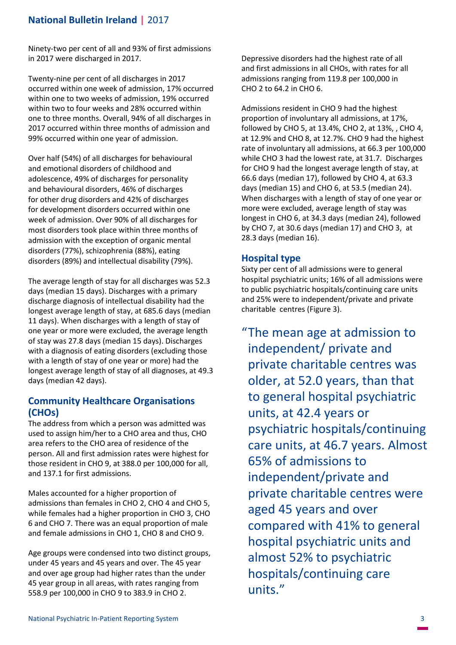# **National Bulletin Ireland |** 2017

Ninety-two per cent of all and 93% of first admissions in 2017 were discharged in 2017.

Twenty-nine per cent of all discharges in 2017 occurred within one week of admission, 17% occurred within one to two weeks of admission, 19% occurred within two to four weeks and 28% occurred within one to three months. Overall, 94% of all discharges in 2017 occurred within three months of admission and 99% occurred within one year of admission.

Over half (54%) of all discharges for behavioural and emotional disorders of childhood and adolescence, 49% of discharges for personality and behavioural disorders, 46% of discharges for other drug disorders and 42% of discharges for development disorders occurred within one week of admission. Over 90% of all discharges for most disorders took place within three months of admission with the exception of organic mental disorders (77%), schizophrenia (88%), eating disorders (89%) and intellectual disability (79%).

The average length of stay for all discharges was 52.3 days (median 15 days). Discharges with a primary discharge diagnosis of intellectual disability had the longest average length of stay, at 685.6 days (median 11 days). When discharges with a length of stay of one year or more were excluded, the average length of stay was 27.8 days (median 15 days). Discharges with a diagnosis of eating disorders (excluding those with a length of stay of one year or more) had the longest average length of stay of all diagnoses, at 49.3 days (median 42 days).

# **Community Healthcare Organisations (CHOs)**

The address from which a person was admitted was used to assign him/her to a CHO area and thus, CHO area refers to the CHO area of residence of the person. All and first admission rates were highest for those resident in CHO 9, at 388.0 per 100,000 for all, and 137.1 for first admissions.

Males accounted for a higher proportion of admissions than females in CHO 2, CHO 4 and CHO 5, while females had a higher proportion in CHO 3, CHO 6 and CHO 7. There was an equal proportion of male and female admissions in CHO 1, CHO 8 and CHO 9.

Age groups were condensed into two distinct groups, under 45 years and 45 years and over. The 45 year and over age group had higher rates than the under 45 year group in all areas, with rates ranging from 558.9 per 100,000 in CHO 9 to 383.9 in CHO 2.

Depressive disorders had the highest rate of all and first admissions in all CHOs, with rates for all admissions ranging from 119.8 per 100,000 in CHO 2 to 64.2 in CHO 6.

Admissions resident in CHO 9 had the highest proportion of involuntary all admissions, at 17%, followed by CHO 5, at 13.4%, CHO 2, at 13%, , CHO 4, at 12.9% and CHO 8, at 12.7%. CHO 9 had the highest rate of involuntary all admissions, at 66.3 per 100,000 while CHO 3 had the lowest rate, at 31.7. Discharges for CHO 9 had the longest average length of stay, at 66.6 days (median 17), followed by CHO 4, at 63.3 days (median 15) and CHO 6, at 53.5 (median 24). When discharges with a length of stay of one year or more were excluded, average length of stay was longest in CHO 6, at 34.3 days (median 24), followed by CHO 7, at 30.6 days (median 17) and CHO 3, at 28.3 days (median 16).

# **Hospital type**

Sixty per cent of all admissions were to general hospital psychiatric units; 16% of all admissions were to public psychiatric hospitals/continuing care units and 25% were to independent/private and private charitable centres (Figure 3).

"The mean age at admission to independent/ private and private charitable centres was older, at 52.0 years, than that to general hospital psychiatric units, at 42.4 years or psychiatric hospitals/continuing care units, at 46.7 years. Almost 65% of admissions to independent/private and private charitable centres were aged 45 years and over compared with 41% to general hospital psychiatric units and almost 52% to psychiatric hospitals/continuing care units."